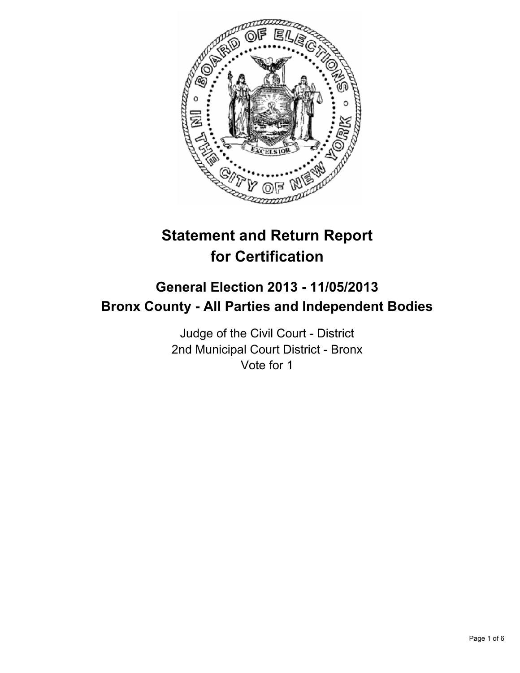

# **Statement and Return Report for Certification**

## **General Election 2013 - 11/05/2013 Bronx County - All Parties and Independent Bodies**

Judge of the Civil Court - District 2nd Municipal Court District - Bronx Vote for 1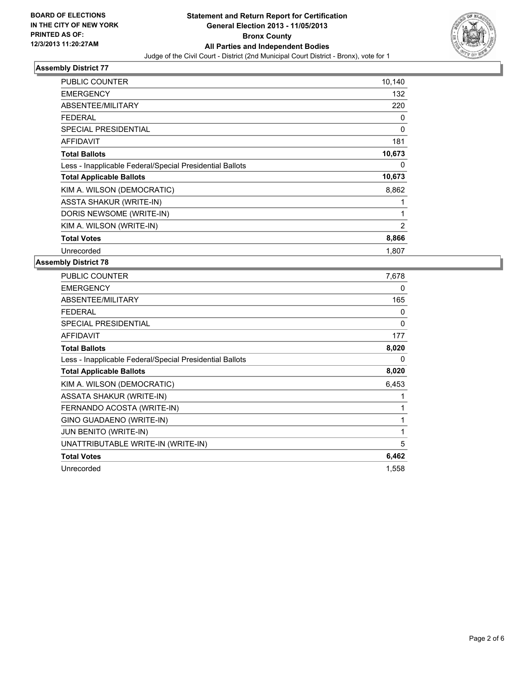

| PUBLIC COUNTER                                           | 10,140         |
|----------------------------------------------------------|----------------|
| <b>EMERGENCY</b>                                         | 132            |
| ABSENTEE/MILITARY                                        | 220            |
| FEDERAL                                                  | 0              |
| <b>SPECIAL PRESIDENTIAL</b>                              | 0              |
| <b>AFFIDAVIT</b>                                         | 181            |
| <b>Total Ballots</b>                                     | 10,673         |
| Less - Inapplicable Federal/Special Presidential Ballots | 0              |
| <b>Total Applicable Ballots</b>                          | 10,673         |
| KIM A. WILSON (DEMOCRATIC)                               | 8,862          |
| <b>ASSTA SHAKUR (WRITE-IN)</b>                           |                |
| DORIS NEWSOME (WRITE-IN)                                 | 1              |
| KIM A. WILSON (WRITE-IN)                                 | $\overline{2}$ |
| <b>Total Votes</b>                                       | 8,866          |
| Unrecorded                                               | 1,807          |

| PUBLIC COUNTER                                           | 7,678    |
|----------------------------------------------------------|----------|
| <b>EMERGENCY</b>                                         | 0        |
| ABSENTEE/MILITARY                                        | 165      |
| <b>FEDERAL</b>                                           | 0        |
| <b>SPECIAL PRESIDENTIAL</b>                              | $\Omega$ |
| <b>AFFIDAVIT</b>                                         | 177      |
| <b>Total Ballots</b>                                     | 8,020    |
| Less - Inapplicable Federal/Special Presidential Ballots | 0        |
| <b>Total Applicable Ballots</b>                          | 8,020    |
| KIM A. WILSON (DEMOCRATIC)                               | 6,453    |
| <b>ASSATA SHAKUR (WRITE-IN)</b>                          |          |
| FERNANDO ACOSTA (WRITE-IN)                               | 1        |
| GINO GUADAENO (WRITE-IN)                                 |          |
| <b>JUN BENITO (WRITE-IN)</b>                             | 1        |
| UNATTRIBUTABLE WRITE-IN (WRITE-IN)                       | 5        |
| <b>Total Votes</b>                                       | 6,462    |
| Unrecorded                                               | 1,558    |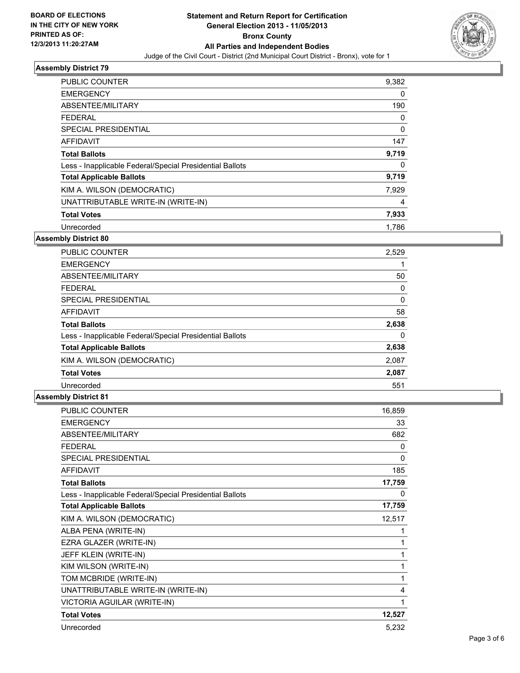

| <b>PUBLIC COUNTER</b>                                    | 9,382 |
|----------------------------------------------------------|-------|
| <b>EMERGENCY</b>                                         | 0     |
| ABSENTEE/MILITARY                                        | 190   |
| FEDERAL                                                  | 0     |
| <b>SPECIAL PRESIDENTIAL</b>                              | 0     |
| <b>AFFIDAVIT</b>                                         | 147   |
| <b>Total Ballots</b>                                     | 9,719 |
| Less - Inapplicable Federal/Special Presidential Ballots | 0     |
| <b>Total Applicable Ballots</b>                          | 9,719 |
| KIM A. WILSON (DEMOCRATIC)                               | 7,929 |
| UNATTRIBUTABLE WRITE-IN (WRITE-IN)                       | 4     |
| <b>Total Votes</b>                                       | 7,933 |
| Unrecorded                                               | 1.786 |

## **Assembly District 80**

| <b>PUBLIC COUNTER</b>                                    | 2,529 |
|----------------------------------------------------------|-------|
| <b>EMERGENCY</b>                                         |       |
| ABSENTEE/MILITARY                                        | 50    |
| <b>FEDERAL</b>                                           | 0     |
| <b>SPECIAL PRESIDENTIAL</b>                              | 0     |
| <b>AFFIDAVIT</b>                                         | 58    |
| <b>Total Ballots</b>                                     | 2,638 |
|                                                          |       |
| Less - Inapplicable Federal/Special Presidential Ballots | 0     |
| <b>Total Applicable Ballots</b>                          | 2,638 |
| KIM A. WILSON (DEMOCRATIC)                               | 2,087 |
| <b>Total Votes</b>                                       | 2,087 |
| Unrecorded                                               | 551   |

| <b>PUBLIC COUNTER</b>                                    | 16,859 |
|----------------------------------------------------------|--------|
| <b>EMERGENCY</b>                                         | 33     |
| ABSENTEE/MILITARY                                        | 682    |
| <b>FEDERAL</b>                                           | 0      |
| SPECIAL PRESIDENTIAL                                     | 0      |
| <b>AFFIDAVIT</b>                                         | 185    |
| <b>Total Ballots</b>                                     | 17,759 |
| Less - Inapplicable Federal/Special Presidential Ballots | 0      |
| <b>Total Applicable Ballots</b>                          | 17,759 |
| KIM A. WILSON (DEMOCRATIC)                               | 12,517 |
| ALBA PENA (WRITE-IN)                                     | 1      |
| EZRA GLAZER (WRITE-IN)                                   | 1      |
| JEFF KLEIN (WRITE-IN)                                    | 1      |
| KIM WILSON (WRITE-IN)                                    | 1      |
| TOM MCBRIDE (WRITE-IN)                                   | 1      |
| UNATTRIBUTABLE WRITE-IN (WRITE-IN)                       | 4      |
| VICTORIA AGUILAR (WRITE-IN)                              | 1      |
| <b>Total Votes</b>                                       | 12,527 |
| Unrecorded                                               | 5,232  |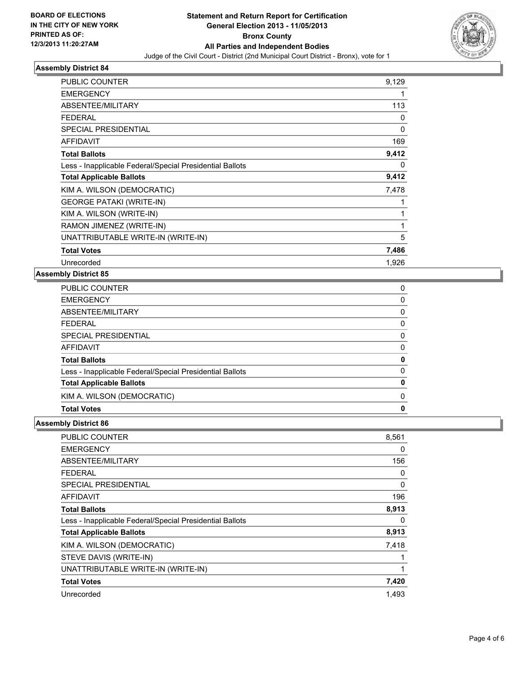

| PUBLIC COUNTER                                           | 9,129 |
|----------------------------------------------------------|-------|
| <b>EMERGENCY</b>                                         |       |
| ABSENTEE/MILITARY                                        | 113   |
| <b>FEDERAL</b>                                           | 0     |
| <b>SPECIAL PRESIDENTIAL</b>                              | 0     |
| <b>AFFIDAVIT</b>                                         | 169   |
| <b>Total Ballots</b>                                     | 9,412 |
| Less - Inapplicable Federal/Special Presidential Ballots | 0     |
| <b>Total Applicable Ballots</b>                          | 9,412 |
| KIM A. WILSON (DEMOCRATIC)                               | 7,478 |
| <b>GEORGE PATAKI (WRITE-IN)</b>                          |       |
| KIM A. WILSON (WRITE-IN)                                 | 1     |
| RAMON JIMENEZ (WRITE-IN)                                 | 1     |
| UNATTRIBUTABLE WRITE-IN (WRITE-IN)                       | 5     |
| <b>Total Votes</b>                                       | 7,486 |
| Unrecorded                                               | 1,926 |

## **Assembly District 85**

| <b>PUBLIC COUNTER</b>                                    | 0            |
|----------------------------------------------------------|--------------|
| <b>EMERGENCY</b>                                         | 0            |
| ABSENTEE/MILITARY                                        | 0            |
| <b>FEDERAL</b>                                           | 0            |
| SPECIAL PRESIDENTIAL                                     | 0            |
| AFFIDAVIT                                                | 0            |
| <b>Total Ballots</b>                                     | 0            |
| Less - Inapplicable Federal/Special Presidential Ballots | 0            |
| <b>Total Applicable Ballots</b>                          | $\mathbf{0}$ |
| KIM A. WILSON (DEMOCRATIC)                               | 0            |
| <b>Total Votes</b>                                       | 0            |

| PUBLIC COUNTER                                           | 8,561 |
|----------------------------------------------------------|-------|
| <b>EMERGENCY</b>                                         | 0     |
| ABSENTEE/MILITARY                                        | 156   |
| FEDERAL                                                  | 0     |
| SPECIAL PRESIDENTIAL                                     | 0     |
| AFFIDAVIT                                                | 196   |
| <b>Total Ballots</b>                                     | 8,913 |
| Less - Inapplicable Federal/Special Presidential Ballots | 0     |
| <b>Total Applicable Ballots</b>                          | 8,913 |
| KIM A. WILSON (DEMOCRATIC)                               | 7,418 |
| STEVE DAVIS (WRITE-IN)                                   |       |
| UNATTRIBUTABLE WRITE-IN (WRITE-IN)                       | 1     |
| <b>Total Votes</b>                                       | 7,420 |
| Unrecorded                                               | 1,493 |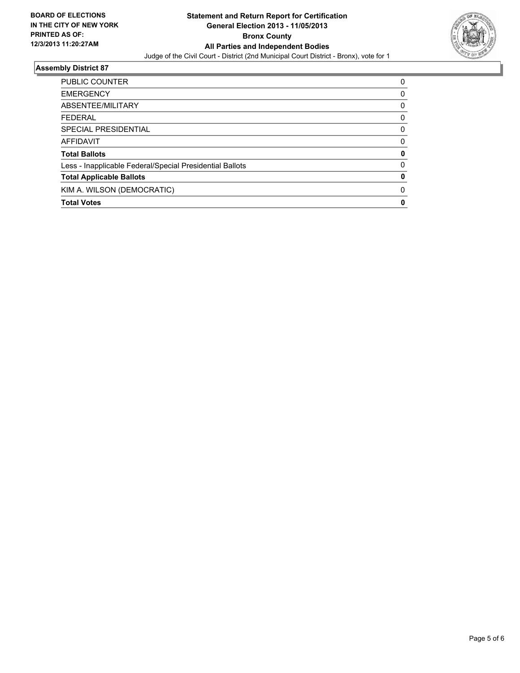

| <b>PUBLIC COUNTER</b>                                    | 0        |
|----------------------------------------------------------|----------|
| <b>EMERGENCY</b>                                         | 0        |
| ABSENTEE/MILITARY                                        | 0        |
| <b>FEDERAL</b>                                           | 0        |
| SPECIAL PRESIDENTIAL                                     | 0        |
| AFFIDAVIT                                                | 0        |
| <b>Total Ballots</b>                                     | 0        |
| Less - Inapplicable Federal/Special Presidential Ballots | $\Omega$ |
| <b>Total Applicable Ballots</b>                          | 0        |
| KIM A. WILSON (DEMOCRATIC)                               | 0        |
| <b>Total Votes</b>                                       | 0        |